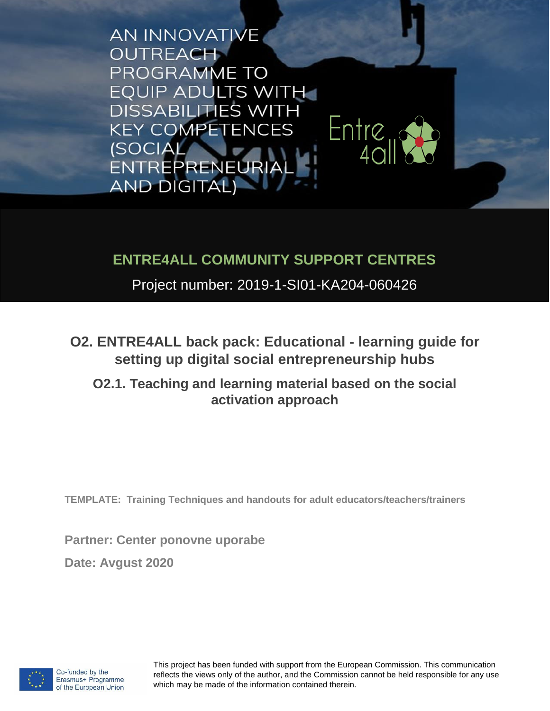**AN INNOVATIVE OUTREACH** PROGRAMME TO **EQUIP ADULTS WITH DISSABILITIES WITH** Entre<sub>u</sub> **KEY COMPETENCES (SOCIAL)** ENTREPRENEURIA **AND DIGITAL)** 

## **ENTRE4ALL COMMUNITY SUPPORT CENTRES**

Project number: 2019-1-SI01-KA204-060426

**O2. ENTRE4ALL back pack: Educational - learning guide for setting up digital social entrepreneurship hubs** 

## **O2.1. Teaching and learning material based on the social activation approach**

**TEMPLATE: Training Techniques and handouts for adult educators/teachers/trainers**

**Partner: Center ponovne uporabe**

**Date: Avgust 2020**



This project has been funded with support from the European Commission. This communication reflects the views only of the author, and the Commission cannot be held responsible for any use which may be made of the information contained therein.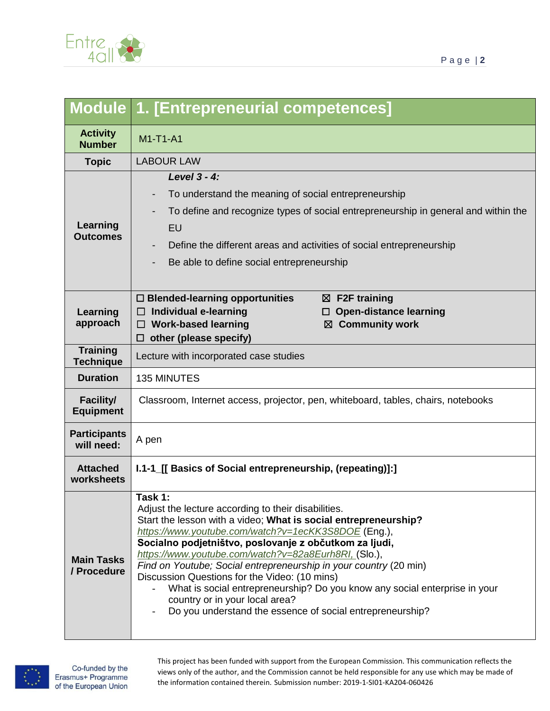

|                                      | <b>Module 1. [Entrepreneurial competences]</b>                                                                                                                                                                                                                                                                                                                                                                                                                                                                                                                                                               |
|--------------------------------------|--------------------------------------------------------------------------------------------------------------------------------------------------------------------------------------------------------------------------------------------------------------------------------------------------------------------------------------------------------------------------------------------------------------------------------------------------------------------------------------------------------------------------------------------------------------------------------------------------------------|
| <b>Activity</b><br><b>Number</b>     | M1-T1-A1                                                                                                                                                                                                                                                                                                                                                                                                                                                                                                                                                                                                     |
| <b>Topic</b>                         | <b>LABOUR LAW</b>                                                                                                                                                                                                                                                                                                                                                                                                                                                                                                                                                                                            |
| Learning<br><b>Outcomes</b>          | Level 3 - 4:                                                                                                                                                                                                                                                                                                                                                                                                                                                                                                                                                                                                 |
|                                      | To understand the meaning of social entrepreneurship                                                                                                                                                                                                                                                                                                                                                                                                                                                                                                                                                         |
|                                      | To define and recognize types of social entrepreneurship in general and within the                                                                                                                                                                                                                                                                                                                                                                                                                                                                                                                           |
|                                      | EU                                                                                                                                                                                                                                                                                                                                                                                                                                                                                                                                                                                                           |
|                                      | Define the different areas and activities of social entrepreneurship                                                                                                                                                                                                                                                                                                                                                                                                                                                                                                                                         |
|                                      | Be able to define social entrepreneurship                                                                                                                                                                                                                                                                                                                                                                                                                                                                                                                                                                    |
|                                      |                                                                                                                                                                                                                                                                                                                                                                                                                                                                                                                                                                                                              |
| Learning<br>approach                 | $\square$ Blended-learning opportunities<br>$\boxtimes$ F2F training                                                                                                                                                                                                                                                                                                                                                                                                                                                                                                                                         |
|                                      | Individual e-learning<br><b>Open-distance learning</b><br><b>Work-based learning</b><br>$\boxtimes$ Community work<br>⊔                                                                                                                                                                                                                                                                                                                                                                                                                                                                                      |
|                                      | other (please specify)<br>□                                                                                                                                                                                                                                                                                                                                                                                                                                                                                                                                                                                  |
| <b>Training</b><br><b>Technique</b>  | Lecture with incorporated case studies                                                                                                                                                                                                                                                                                                                                                                                                                                                                                                                                                                       |
| <b>Duration</b>                      | <b>135 MINUTES</b>                                                                                                                                                                                                                                                                                                                                                                                                                                                                                                                                                                                           |
| <b>Facility/</b><br><b>Equipment</b> | Classroom, Internet access, projector, pen, whiteboard, tables, chairs, notebooks                                                                                                                                                                                                                                                                                                                                                                                                                                                                                                                            |
| <b>Participants</b><br>will need:    | A pen                                                                                                                                                                                                                                                                                                                                                                                                                                                                                                                                                                                                        |
| <b>Attached</b><br>worksheets        | I.1-1_[[ Basics of Social entrepreneurship, (repeating)]:]                                                                                                                                                                                                                                                                                                                                                                                                                                                                                                                                                   |
| <b>Main Tasks</b><br>/ Procedure     | Task 1:<br>Adjust the lecture according to their disabilities.<br>Start the lesson with a video; What is social entrepreneurship?<br>https://www.youtube.com/watch?v=1ecKK3S8DOE(Eng.),<br>Socialno podjetništvo, poslovanje z občutkom za ljudi,<br>https://www.youtube.com/watch?v=82a8Eurh8RI, (Slo.),<br>Find on Youtube; Social entrepreneurship in your country (20 min)<br>Discussion Questions for the Video: (10 mins)<br>What is social entrepreneurship? Do you know any social enterprise in your<br>country or in your local area?<br>Do you understand the essence of social entrepreneurship? |



This project has been funded with support from the European Commission. This communication reflects the views only of the author, and the Commission cannot be held responsible for any use which may be made of the information contained therein. Submission number: 2019-1-SI01-KA204-060426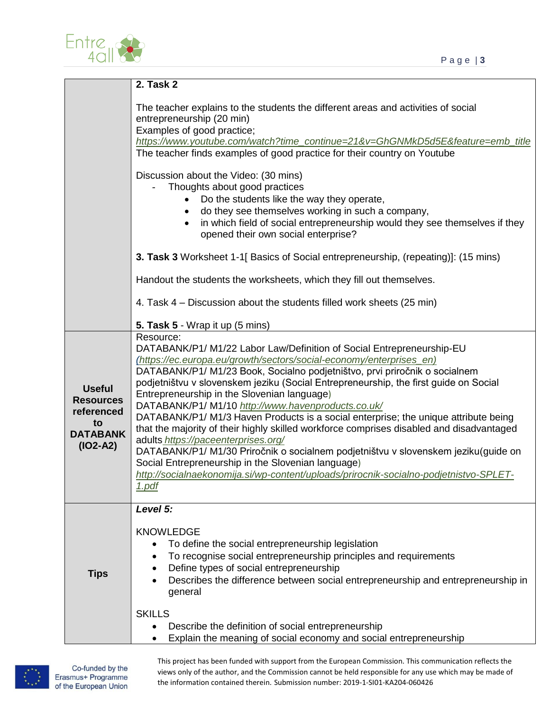



|                                                                                        | <b>2. Task 2</b>                                                                                                                                                                                                                                                                                                                                                                                                                                                                                                                                                                                                                                                                                                                                                                                                                                                                                                    |
|----------------------------------------------------------------------------------------|---------------------------------------------------------------------------------------------------------------------------------------------------------------------------------------------------------------------------------------------------------------------------------------------------------------------------------------------------------------------------------------------------------------------------------------------------------------------------------------------------------------------------------------------------------------------------------------------------------------------------------------------------------------------------------------------------------------------------------------------------------------------------------------------------------------------------------------------------------------------------------------------------------------------|
|                                                                                        | The teacher explains to the students the different areas and activities of social<br>entrepreneurship (20 min)<br>Examples of good practice;<br>https://www.youtube.com/watch?time_continue=21&v=GhGNMkD5d5E&feature=emb_title<br>The teacher finds examples of good practice for their country on Youtube                                                                                                                                                                                                                                                                                                                                                                                                                                                                                                                                                                                                          |
|                                                                                        | Discussion about the Video: (30 mins)<br>Thoughts about good practices<br>Do the students like the way they operate,<br>do they see themselves working in such a company,<br>in which field of social entrepreneurship would they see themselves if they<br>opened their own social enterprise?                                                                                                                                                                                                                                                                                                                                                                                                                                                                                                                                                                                                                     |
|                                                                                        | 3. Task 3 Worksheet 1-1[ Basics of Social entrepreneurship, (repeating)]: (15 mins)                                                                                                                                                                                                                                                                                                                                                                                                                                                                                                                                                                                                                                                                                                                                                                                                                                 |
|                                                                                        | Handout the students the worksheets, which they fill out themselves.                                                                                                                                                                                                                                                                                                                                                                                                                                                                                                                                                                                                                                                                                                                                                                                                                                                |
|                                                                                        | 4. Task 4 – Discussion about the students filled work sheets (25 min)                                                                                                                                                                                                                                                                                                                                                                                                                                                                                                                                                                                                                                                                                                                                                                                                                                               |
|                                                                                        | 5. Task 5 - Wrap it up (5 mins)                                                                                                                                                                                                                                                                                                                                                                                                                                                                                                                                                                                                                                                                                                                                                                                                                                                                                     |
| <b>Useful</b><br><b>Resources</b><br>referenced<br>to<br><b>DATABANK</b><br>$(IO2-A2)$ | Resource:<br>DATABANK/P1/ M1/22 Labor Law/Definition of Social Entrepreneurship-EU<br>(https://ec.europa.eu/growth/sectors/social-economy/enterprises_en)<br>DATABANK/P1/ M1/23 Book, Socialno podjetništvo, prvi priročnik o socialnem<br>podjetništvu v slovenskem jeziku (Social Entrepreneurship, the first guide on Social<br>Entrepreneurship in the Slovenian language)<br>DATABANK/P1/ M1/10 http://www.havenproducts.co.uk/<br>DATABANK/P1/ M1/3 Haven Products is a social enterprise; the unique attribute being<br>that the majority of their highly skilled workforce comprises disabled and disadvantaged<br>adults_https://paceenterprises.org/<br>DATABANK/P1/ M1/30 Priročnik o socialnem podjetništvu v slovenskem jeziku(guide on<br>Social Entrepreneurship in the Slovenian language)<br>http://socialnaekonomija.si/wp-content/uploads/prirocnik-socialno-podjetnistvo-SPLET-<br><u>1.pdf</u> |
| <b>Tips</b>                                                                            | Level 5:<br><b>KNOWLEDGE</b><br>To define the social entrepreneurship legislation<br>To recognise social entrepreneurship principles and requirements<br>Define types of social entrepreneurship<br>Describes the difference between social entrepreneurship and entrepreneurship in<br>general<br><b>SKILLS</b><br>Describe the definition of social entrepreneurship<br>Explain the meaning of social economy and social entrepreneurship                                                                                                                                                                                                                                                                                                                                                                                                                                                                         |



This project has been funded with support from the European Commission. This communication reflects the views only of the author, and the Commission cannot be held responsible for any use which may be made of the information contained therein. Submission number: 2019-1-SI01-KA204-060426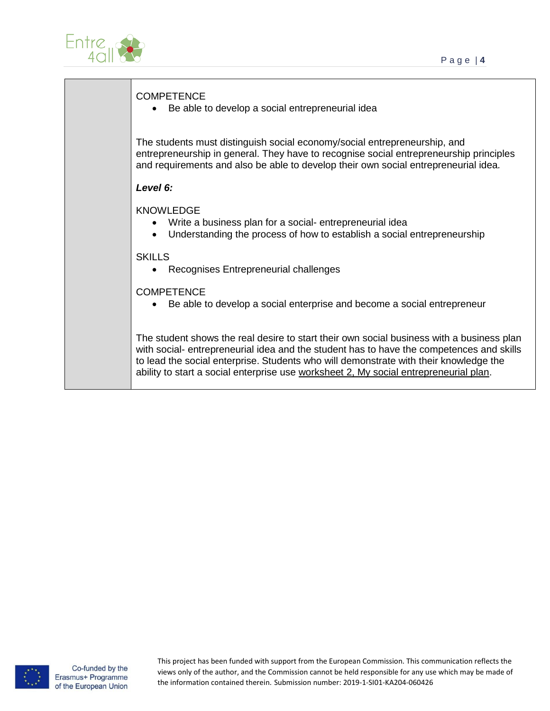

| <b>COMPETENCE</b><br>Be able to develop a social entrepreneurial idea                                                                                                                                                                                                                                                                                                   |
|-------------------------------------------------------------------------------------------------------------------------------------------------------------------------------------------------------------------------------------------------------------------------------------------------------------------------------------------------------------------------|
| The students must distinguish social economy/social entrepreneurship, and<br>entrepreneurship in general. They have to recognise social entrepreneurship principles<br>and requirements and also be able to develop their own social entrepreneurial idea.                                                                                                              |
| Level 6:                                                                                                                                                                                                                                                                                                                                                                |
| <b>KNOWLEDGE</b><br>Write a business plan for a social-entrepreneurial idea<br>Understanding the process of how to establish a social entrepreneurship<br>$\bullet$                                                                                                                                                                                                     |
| <b>SKILLS</b><br>Recognises Entrepreneurial challenges                                                                                                                                                                                                                                                                                                                  |
| <b>COMPETENCE</b><br>Be able to develop a social enterprise and become a social entrepreneur                                                                                                                                                                                                                                                                            |
| The student shows the real desire to start their own social business with a business plan<br>with social- entrepreneurial idea and the student has to have the competences and skills<br>to lead the social enterprise. Students who will demonstrate with their knowledge the<br>ability to start a social enterprise use worksheet 2, My social entrepreneurial plan. |

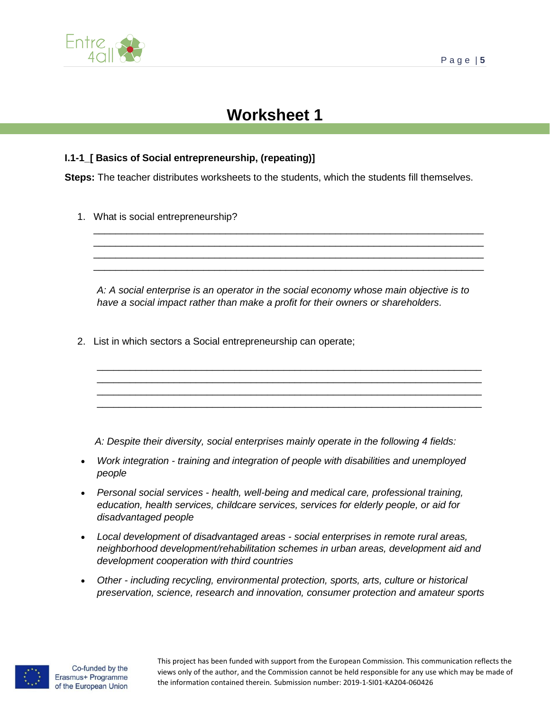

## **Worksheet 1**

## **I.1-1\_[ Basics of Social entrepreneurship, (repeating)]**

**Steps:** The teacher distributes worksheets to the students, which the students fill themselves.

1. What is social entrepreneurship?

*A: A social enterprise is an operator in the social economy whose main objective is to have a social impact rather than make a profit for their owners or shareholders.*

\_\_\_\_\_\_\_\_\_\_\_\_\_\_\_\_\_\_\_\_\_\_\_\_\_\_\_\_\_\_\_\_\_\_\_\_\_\_\_\_\_\_\_\_\_\_\_\_\_\_\_\_\_\_\_\_\_\_\_\_\_\_\_\_\_\_\_\_\_\_ \_\_\_\_\_\_\_\_\_\_\_\_\_\_\_\_\_\_\_\_\_\_\_\_\_\_\_\_\_\_\_\_\_\_\_\_\_\_\_\_\_\_\_\_\_\_\_\_\_\_\_\_\_\_\_\_\_\_\_\_\_\_\_\_\_\_\_\_\_\_ \_\_\_\_\_\_\_\_\_\_\_\_\_\_\_\_\_\_\_\_\_\_\_\_\_\_\_\_\_\_\_\_\_\_\_\_\_\_\_\_\_\_\_\_\_\_\_\_\_\_\_\_\_\_\_\_\_\_\_\_\_\_\_\_\_\_\_\_\_\_ \_\_\_\_\_\_\_\_\_\_\_\_\_\_\_\_\_\_\_\_\_\_\_\_\_\_\_\_\_\_\_\_\_\_\_\_\_\_\_\_\_\_\_\_\_\_\_\_\_\_\_\_\_\_\_\_\_\_\_\_\_\_\_\_\_\_\_\_\_\_

\_\_\_\_\_\_\_\_\_\_\_\_\_\_\_\_\_\_\_\_\_\_\_\_\_\_\_\_\_\_\_\_\_\_\_\_\_\_\_\_\_\_\_\_\_\_\_\_\_\_\_\_\_\_\_\_\_\_\_\_\_\_\_\_\_\_\_\_\_\_\_ \_\_\_\_\_\_\_\_\_\_\_\_\_\_\_\_\_\_\_\_\_\_\_\_\_\_\_\_\_\_\_\_\_\_\_\_\_\_\_\_\_\_\_\_\_\_\_\_\_\_\_\_\_\_\_\_\_\_\_\_\_\_\_\_\_\_\_\_\_\_\_ \_\_\_\_\_\_\_\_\_\_\_\_\_\_\_\_\_\_\_\_\_\_\_\_\_\_\_\_\_\_\_\_\_\_\_\_\_\_\_\_\_\_\_\_\_\_\_\_\_\_\_\_\_\_\_\_\_\_\_\_\_\_\_\_\_\_\_\_\_\_\_ \_\_\_\_\_\_\_\_\_\_\_\_\_\_\_\_\_\_\_\_\_\_\_\_\_\_\_\_\_\_\_\_\_\_\_\_\_\_\_\_\_\_\_\_\_\_\_\_\_\_\_\_\_\_\_\_\_\_\_\_\_\_\_\_\_\_\_\_\_\_\_

2. List in which sectors a Social entrepreneurship can operate;

 *A: Despite their diversity, social enterprises mainly operate in the following 4 fields:*

- *Work integration - training and integration of people with disabilities and unemployed people*
- *Personal social services - health, well-being and medical care, professional training, education, health services, childcare services, services for elderly people, or aid for disadvantaged people*
- *Local development of disadvantaged areas - social enterprises in remote rural areas, neighborhood development/rehabilitation schemes in urban areas, development aid and development cooperation with third countries*
- *Other - including recycling, environmental protection, sports, arts, culture or historical preservation, science, research and innovation, consumer protection and amateur sports*